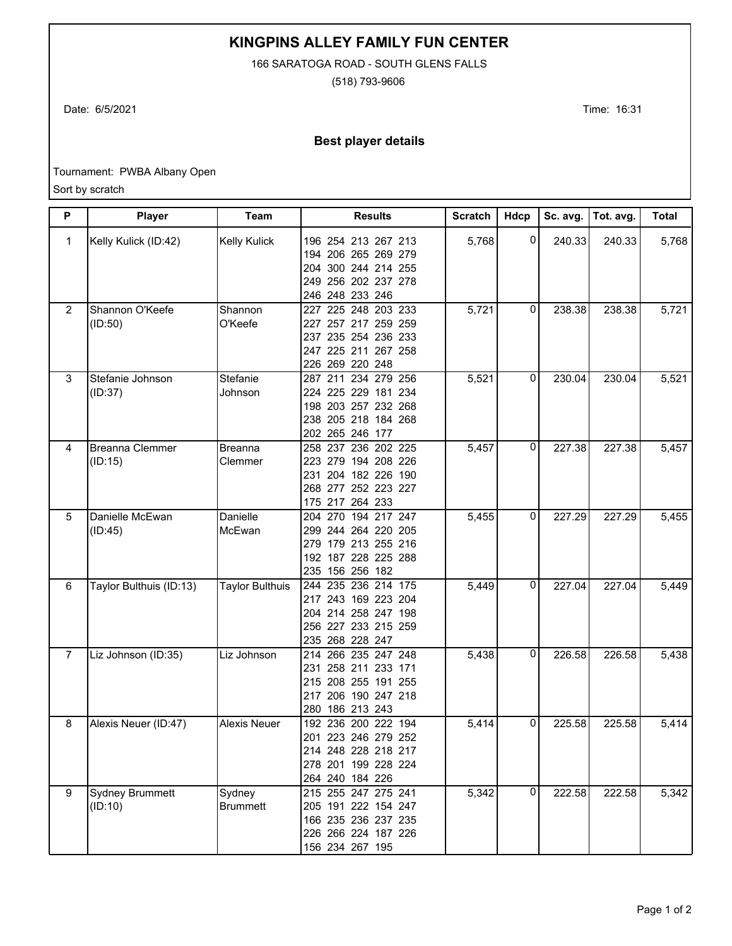**KINGPINS ALLEY FAMILY FUN CENTER**

166 SARATOGA ROAD - SOUTH GLENS FALLS

(518) 793-9606

Date: 6/5/2021 Time: 16:31

## **Best player details**

Tournament: PWBA Albany Open

Sort by scratch

| P              | Player                            | Team                      | <b>Results</b>                                                                                                       | <b>Scratch</b> | Hdcp           | Sc. avg. | Tot. avg. | <b>Total</b> |
|----------------|-----------------------------------|---------------------------|----------------------------------------------------------------------------------------------------------------------|----------------|----------------|----------|-----------|--------------|
| 1              | Kelly Kulick (ID:42)              | <b>Kelly Kulick</b>       | 196 254 213 267 213<br>194 206 265 269 279<br>204 300 244 214 255<br>249 256 202 237 278<br>246 248 233 246          | 5,768          | $\overline{0}$ | 240.33   | 240.33    | 5,768        |
| $\overline{2}$ | Shannon O'Keefe<br>(ID:50)        | Shannon<br>O'Keefe        | 227 225 248 203 233<br>227 257 217 259 259<br>237 235 254 236 233<br>247 225 211 267 258<br>226 269 220 248          | 5,721          | $\mathbf{0}$   | 238.38   | 238.38    | 5,721        |
| 3              | Stefanie Johnson<br>(ID:37)       | Stefanie<br>Johnson       | 287 211 234 279 256<br>224 225 229 181 234<br>198 203 257 232 268<br>238 205 218 184 268<br>202 265 246 177          | 5,521          | 0              | 230.04   | 230.04    | 5,521        |
| 4              | Breanna Clemmer<br>(ID:15)        | <b>Breanna</b><br>Clemmer | 258 237 236 202 225<br>223 279 194 208 226<br>231 204 182 226 190<br>268 277 252 223 227<br>175 217 264 233          | 5,457          | 0              | 227.38   | 227.38    | 5,457        |
| 5              | Danielle McEwan<br>(ID:45)        | Danielle<br>McEwan        | 204 270 194 217 247<br>299 244 264 220 205<br>279 179 213 255 216<br>192 187 228 225 288<br>235 156 256 182          | 5,455          | 0              | 227.29   | 227.29    | 5,455        |
| 6              | Taylor Bulthuis (ID:13)           | <b>Taylor Bulthuis</b>    | 235 236 214 175<br>244<br>217 243 169 223 204<br>204 214 258 247 198<br>256 227 233 215 259<br>235 268 228 247       | 5,449          | 0              | 227.04   | 227.04    | 5,449        |
| $\overline{7}$ | Liz Johnson (ID:35)               | Liz Johnson               | 266 235 247 248<br>214<br>258 211 233 171<br>231<br>215 208 255 191 255<br>206 190 247 218<br>217<br>280 186 213 243 | 5,438          | $\Omega$       | 226.58   | 226.58    | 5,438        |
| 8              | Alexis Neuer (ID:47)              | <b>Alexis Neuer</b>       | 192 236 200 222 194<br>201 223 246 279 252<br>214 248 228 218 217<br>278 201 199 228 224<br>264 240 184 226          | 5,414          | 0              | 225.58   | 225.58    | 5,414        |
| 9              | <b>Sydney Brummett</b><br>(ID:10) | Sydney<br><b>Brummett</b> | 215 255 247 275 241<br>205 191 222 154 247<br>166 235 236 237 235<br>226 266 224 187 226<br>156 234 267 195          | 5,342          | $\overline{0}$ | 222.58   | 222.58    | 5,342        |